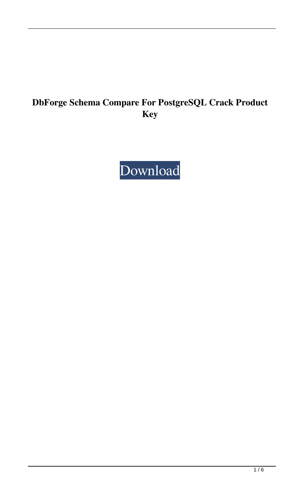# **DbForge Schema Compare For PostgreSQL Crack Product Key**

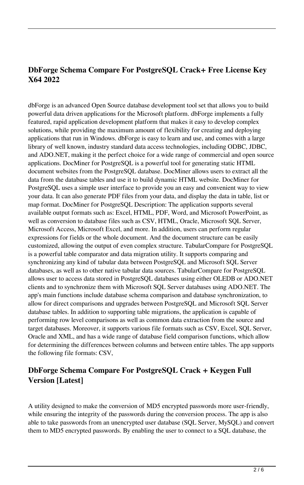# **DbForge Schema Compare For PostgreSQL Crack+ Free License Key X64 2022**

dbForge is an advanced Open Source database development tool set that allows you to build powerful data driven applications for the Microsoft platform. dbForge implements a fully featured, rapid application development platform that makes it easy to develop complex solutions, while providing the maximum amount of flexibility for creating and deploying applications that run in Windows. dbForge is easy to learn and use, and comes with a large library of well known, industry standard data access technologies, including ODBC, JDBC, and ADO.NET, making it the perfect choice for a wide range of commercial and open source applications. DocMiner for PostgreSQL is a powerful tool for generating static HTML document websites from the PostgreSQL database. DocMiner allows users to extract all the data from the database tables and use it to build dynamic HTML website. DocMiner for PostgreSQL uses a simple user interface to provide you an easy and convenient way to view your data. It can also generate PDF files from your data, and display the data in table, list or map format. DocMiner for PostgreSQL Description: The application supports several available output formats such as: Excel, HTML, PDF, Word, and Microsoft PowerPoint, as well as conversion to database files such as CSV, HTML, Oracle, Microsoft SQL Server, Microsoft Access, Microsoft Excel, and more. In addition, users can perform regular expressions for fields or the whole document. And the document structure can be easily customized, allowing the output of even complex structure. TabularCompare for PostgreSQL is a powerful table comparator and data migration utility. It supports comparing and synchronizing any kind of tabular data between PostgreSQL and Microsoft SQL Server databases, as well as to other native tabular data sources. TabularCompare for PostgreSQL allows user to access data stored in PostgreSQL databases using either OLEDB or ADO.NET clients and to synchronize them with Microsoft SQL Server databases using ADO.NET. The app's main functions include database schema comparison and database synchronization, to allow for direct comparisons and upgrades between PostgreSQL and Microsoft SQL Server database tables. In addition to supporting table migrations, the application is capable of performing row level comparisons as well as common data extraction from the source and target databases. Moreover, it supports various file formats such as CSV, Excel, SQL Server, Oracle and XML, and has a wide range of database field comparison functions, which allow for determining the differences between columns and between entire tables. The app supports the following file formats: CSV,

## **DbForge Schema Compare For PostgreSQL Crack + Keygen Full Version [Latest]**

A utility designed to make the conversion of MD5 encrypted passwords more user-friendly, while ensuring the integrity of the passwords during the conversion process. The app is also able to take passwords from an unencrypted user database (SQL Server, MySQL) and convert them to MD5 encrypted passwords. By enabling the user to connect to a SQL database, the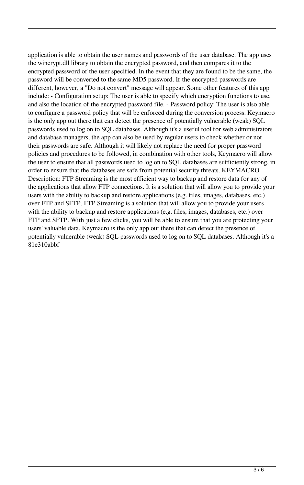application is able to obtain the user names and passwords of the user database. The app uses the wincrypt.dll library to obtain the encrypted password, and then compares it to the encrypted password of the user specified. In the event that they are found to be the same, the password will be converted to the same MD5 password. If the encrypted passwords are different, however, a "Do not convert" message will appear. Some other features of this app include: - Configuration setup: The user is able to specify which encryption functions to use, and also the location of the encrypted password file. - Password policy: The user is also able to configure a password policy that will be enforced during the conversion process. Keymacro is the only app out there that can detect the presence of potentially vulnerable (weak) SQL passwords used to log on to SQL databases. Although it's a useful tool for web administrators and database managers, the app can also be used by regular users to check whether or not their passwords are safe. Although it will likely not replace the need for proper password policies and procedures to be followed, in combination with other tools, Keymacro will allow the user to ensure that all passwords used to log on to SQL databases are sufficiently strong, in order to ensure that the databases are safe from potential security threats. KEYMACRO Description: FTP Streaming is the most efficient way to backup and restore data for any of the applications that allow FTP connections. It is a solution that will allow you to provide your users with the ability to backup and restore applications (e.g. files, images, databases, etc.) over FTP and SFTP. FTP Streaming is a solution that will allow you to provide your users with the ability to backup and restore applications (e.g. files, images, databases, etc.) over FTP and SFTP. With just a few clicks, you will be able to ensure that you are protecting your users' valuable data. Keymacro is the only app out there that can detect the presence of potentially vulnerable (weak) SQL passwords used to log on to SQL databases. Although it's a 81e310abbf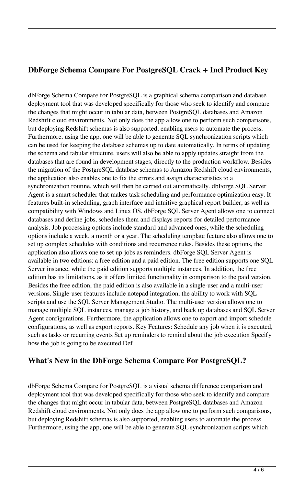#### **DbForge Schema Compare For PostgreSQL Crack + Incl Product Key**

dbForge Schema Compare for PostgreSQL is a graphical schema comparison and database deployment tool that was developed specifically for those who seek to identify and compare the changes that might occur in tabular data, between PostgreSQL databases and Amazon Redshift cloud environments. Not only does the app allow one to perform such comparisons, but deploying Redshift schemas is also supported, enabling users to automate the process. Furthermore, using the app, one will be able to generate SQL synchronization scripts which can be used for keeping the database schemas up to date automatically. In terms of updating the schema and tabular structure, users will also be able to apply updates straight from the databases that are found in development stages, directly to the production workflow. Besides the migration of the PostgreSQL database schemas to Amazon Redshift cloud environments, the application also enables one to fix the errors and assign characteristics to a synchronization routine, which will then be carried out automatically. dbForge SQL Server Agent is a smart scheduler that makes task scheduling and performance optimization easy. It features built-in scheduling, graph interface and intuitive graphical report builder, as well as compatibility with Windows and Linux OS. dbForge SQL Server Agent allows one to connect databases and define jobs, schedules them and displays reports for detailed performance analysis. Job processing options include standard and advanced ones, while the scheduling options include a week, a month or a year. The scheduling template feature also allows one to set up complex schedules with conditions and recurrence rules. Besides these options, the application also allows one to set up jobs as reminders. dbForge SQL Server Agent is available in two editions: a free edition and a paid edition. The free edition supports one SQL Server instance, while the paid edition supports multiple instances. In addition, the free edition has its limitations, as it offers limited functionality in comparison to the paid version. Besides the free edition, the paid edition is also available in a single-user and a multi-user versions. Single-user features include notepad integration, the ability to work with SQL scripts and use the SQL Server Management Studio. The multi-user version allows one to manage multiple SQL instances, manage a job history, and back up databases and SQL Server Agent configurations. Furthermore, the application allows one to export and import schedule configurations, as well as export reports. Key Features: Schedule any job when it is executed, such as tasks or recurring events Set up reminders to remind about the job execution Specify how the job is going to be executed Def

#### **What's New in the DbForge Schema Compare For PostgreSQL?**

dbForge Schema Compare for PostgreSQL is a visual schema difference comparison and deployment tool that was developed specifically for those who seek to identify and compare the changes that might occur in tabular data, between PostgreSQL databases and Amazon Redshift cloud environments. Not only does the app allow one to perform such comparisons, but deploying Redshift schemas is also supported, enabling users to automate the process. Furthermore, using the app, one will be able to generate SQL synchronization scripts which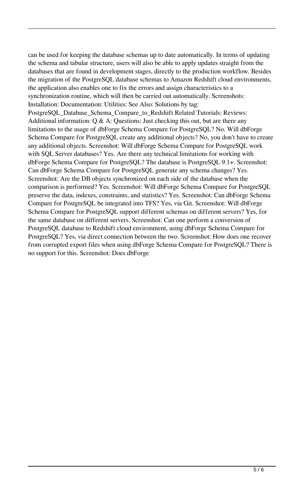can be used for keeping the database schemas up to date automatically. In terms of updating the schema and tabular structure, users will also be able to apply updates straight from the databases that are found in development stages, directly to the production workflow. Besides the migration of the PostgreSQL database schemas to Amazon Redshift cloud environments, the application also enables one to fix the errors and assign characteristics to a synchronization routine, which will then be carried out automatically. Screenshots: Installation: Documentation: Utilities: See Also: Solutions by tag: PostgreSQL\_Database\_Schema\_Compare\_to\_Redshift Related Tutorials: Reviews: Additional information:  $Q \& A$ : Questions: Just checking this out, but are there any limitations to the usage of dbForge Schema Compare for PostgreSQL? No. Will dbForge Schema Compare for PostgreSQL create any additional objects? No, you don't have to create any additional objects. Screenshot: Will dbForge Schema Compare for PostgreSQL work with SQL Server databases? Yes. Are there any technical limitations for working with dbForge Schema Compare for PostgreSQL? The database is PostgreSQL 9.1+. Screenshot: Can dbForge Schema Compare for PostgreSQL generate any schema changes? Yes. Screenshot: Are the DB objects synchronized on each side of the database when the comparison is performed? Yes. Screenshot: Will dbForge Schema Compare for PostgreSQL preserve the data, indexes, constraints, and statistics? Yes. Screenshot: Can dbForge Schema Compare for PostgreSQL be integrated into TFS? Yes, via Git. Screenshot: Will dbForge Schema Compare for PostgreSQL support different schemas on different servers? Yes, for the same database on different servers. Screenshot: Can one perform a conversion of PostgreSQL database to Redshift cloud environment, using dbForge Schema Compare for PostgreSQL? Yes, via direct connection between the two. Screenshot: How does one recover from corrupted export files when using dbForge Schema Compare for PostgreSQL? There is no support for this. Screenshot: Does dbForge